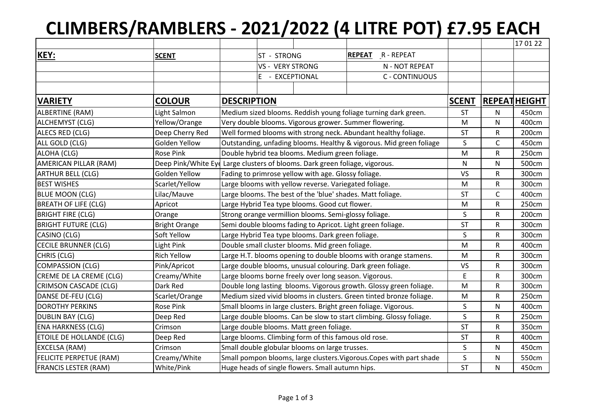## **CLIMBERS/RAMBLERS - 2021/2022 (4 LITRE POT) £7.95 EACH**

|                                 |                      |                                                                      |                                                                             |                                                       |                                                            |              |           | 17 01 22            |
|---------------------------------|----------------------|----------------------------------------------------------------------|-----------------------------------------------------------------------------|-------------------------------------------------------|------------------------------------------------------------|--------------|-----------|---------------------|
| KEY:                            | <b>SCENT</b>         |                                                                      | ST - STRONG                                                                 |                                                       | <b>REPEAT</b><br>$R - REPEAT$                              |              |           |                     |
|                                 |                      | <b>VS - VERY STRONG</b>                                              |                                                                             |                                                       | N - NOT REPEAT                                             |              |           |                     |
|                                 |                      |                                                                      | $E -$                                                                       | EXCEPTIONAL                                           | C - CONTINUOUS                                             |              |           |                     |
|                                 |                      |                                                                      |                                                                             |                                                       |                                                            |              |           |                     |
| <b>VARIETY</b>                  | <b>COLOUR</b>        | <b>DESCRIPTION</b>                                                   |                                                                             |                                                       |                                                            | <b>SCENT</b> |           | <b>REPEATHEIGHT</b> |
| ALBERTINE (RAM)                 | Light Salmon         | Medium sized blooms. Reddish young foliage turning dark green.       |                                                                             |                                                       |                                                            | <b>ST</b>    | ${\sf N}$ | 450cm               |
| ALCHEMYST (CLG)                 | Yellow/Orange        | Very double blooms. Vigorous grower. Summer flowering.               |                                                                             |                                                       |                                                            | M            | N         | 400cm               |
| ALECS RED (CLG)                 | Deep Cherry Red      | Well formed blooms with strong neck. Abundant healthy foliage.       |                                                                             |                                                       |                                                            | <b>ST</b>    | R         | 200cm               |
| ALL GOLD (CLG)                  | Golden Yellow        | Outstanding, unfading blooms. Healthy & vigorous. Mid green foliage  |                                                                             |                                                       |                                                            | $\sf S$      | C         | 450cm               |
| ALOHA (CLG)                     | <b>Rose Pink</b>     |                                                                      | Double hybrid tea blooms. Medium green foliage.                             |                                                       |                                                            |              | R         | 250cm               |
| AMERICAN PILLAR (RAM)           |                      |                                                                      | Deep Pink/White Eyd Large clusters of blooms. Dark green foliage, vigorous. |                                                       |                                                            |              | N         | 500cm               |
| <b>ARTHUR BELL (CLG)</b>        | Golden Yellow        | Fading to primrose yellow with age. Glossy foliage.                  |                                                                             |                                                       |                                                            | VS           | R         | 300cm               |
| <b>BEST WISHES</b>              | Scarlet/Yellow       | Large blooms with yellow reverse. Variegated foliage.                |                                                                             |                                                       |                                                            | M            | R         | 300cm               |
| <b>BLUE MOON (CLG)</b>          | Lilac/Mauve          | Large blooms. The best of the 'blue' shades. Matt foliage.           |                                                                             |                                                       |                                                            | <b>ST</b>    | C         | 400cm               |
| <b>BREATH OF LIFE (CLG)</b>     | Apricot              | Large Hybrid Tea type blooms. Good cut flower.                       |                                                                             |                                                       |                                                            | M            | R         | 250cm               |
| <b>BRIGHT FIRE (CLG)</b>        | Orange               |                                                                      |                                                                             | Strong orange vermillion blooms. Semi-glossy foliage. |                                                            | S            | R         | 200cm               |
| <b>BRIGHT FUTURE (CLG)</b>      | <b>Bright Orange</b> |                                                                      |                                                                             |                                                       | Semi double blooms fading to Apricot. Light green foliage. | <b>ST</b>    | R         | 300cm               |
| CASINO (CLG)                    | Soft Yellow          |                                                                      |                                                                             | Large Hybrid Tea type blooms. Dark green foliage.     |                                                            | S            | R         | 300cm               |
| <b>CECILE BRUNNER (CLG)</b>     | <b>Light Pink</b>    | Double small cluster blooms. Mid green foliage.                      |                                                                             |                                                       |                                                            | M            | R         | 400cm               |
| CHRIS (CLG)                     | <b>Rich Yellow</b>   | Large H.T. blooms opening to double blooms with orange stamens.      |                                                                             |                                                       | M                                                          | R            | 300cm     |                     |
| <b>COMPASSION (CLG)</b>         | Pink/Apricot         | Large double blooms, unusual colouring. Dark green foliage.          |                                                                             |                                                       | VS                                                         | R            | 300cm     |                     |
| CREME DE LA CREME (CLG)         | Creamy/White         | Large blooms borne freely over long season. Vigorous.                |                                                                             |                                                       | E                                                          | R            | 300cm     |                     |
| <b>CRIMSON CASCADE (CLG)</b>    | Dark Red             | Double long lasting blooms. Vigorous growth. Glossy green foliage.   |                                                                             |                                                       | M                                                          | R            | 300cm     |                     |
| DANSE DE-FEU (CLG)              | Scarlet/Orange       | Medium sized vivid blooms in clusters. Green tinted bronze foliage.  |                                                                             |                                                       | M                                                          | R            | 250cm     |                     |
| <b>DOROTHY PERKINS</b>          | <b>Rose Pink</b>     | Small blooms in large clusters. Bright green foliage. Vigorous.      |                                                                             |                                                       | S                                                          | N            | 400cm     |                     |
| <b>DUBLIN BAY (CLG)</b>         | Deep Red             | Large double blooms. Can be slow to start climbing. Glossy foliage.  |                                                                             |                                                       | S                                                          | R            | 250cm     |                     |
| <b>ENA HARKNESS (CLG)</b>       | Crimson              | Large double blooms. Matt green foliage.                             |                                                                             |                                                       | <b>ST</b>                                                  | R            | 350cm     |                     |
| <b>ETOILE DE HOLLANDE (CLG)</b> | Deep Red             | Large blooms. Climbing form of this famous old rose.                 |                                                                             |                                                       | <b>ST</b>                                                  | R            | 400cm     |                     |
| <b>EXCELSA (RAM)</b>            | Crimson              | Small double globular blooms on large trusses.                       |                                                                             |                                                       | S                                                          | N            | 450cm     |                     |
| <b>FELICITE PERPETUE (RAM)</b>  | Creamy/White         | Small pompon blooms, large clusters. Vigorous. Copes with part shade |                                                                             |                                                       | S                                                          | N            | 550cm     |                     |
| <b>FRANCIS LESTER (RAM)</b>     | White/Pink           | Huge heads of single flowers. Small autumn hips.                     |                                                                             |                                                       | <b>ST</b>                                                  | N            | 450cm     |                     |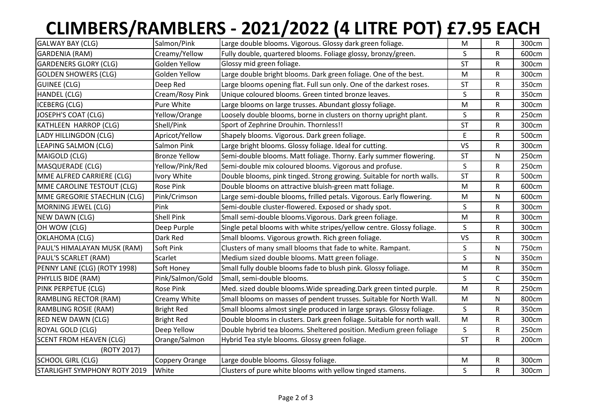## **CLIMBERS/RAMBLERS - 2021/2022 (4 LITRE POT) £7.95 EACH**

| <b>GALWAY BAY (CLG)</b>        | Salmon/Pink          | Large double blooms. Vigorous. Glossy dark green foliage.               | M           | R            | 300cm |
|--------------------------------|----------------------|-------------------------------------------------------------------------|-------------|--------------|-------|
| <b>GARDENIA (RAM)</b>          | Creamy/Yellow        | Fully double, quartered blooms. Foliage glossy, bronzy/green.           | S           | R            | 600cm |
| <b>GARDENERS GLORY (CLG)</b>   | Golden Yellow        | Glossy mid green foliage.                                               | <b>ST</b>   | R            | 300cm |
| <b>GOLDEN SHOWERS (CLG)</b>    | Golden Yellow        | Large double bright blooms. Dark green foliage. One of the best.        | M           | R            | 300cm |
| <b>GUINEE (CLG)</b>            | Deep Red             | Large blooms opening flat. Full sun only. One of the darkest roses.     | <b>ST</b>   | R            | 350cm |
| <b>HANDEL (CLG)</b>            | Cream/Rosy Pink      | Unique coloured blooms. Green tinted bronze leaves.                     | S           | R            | 350cm |
| <b>ICEBERG (CLG)</b>           | Pure White           | Large blooms on large trusses. Abundant glossy foliage.                 | M           | R            | 300cm |
| JOSEPH'S COAT (CLG)            | Yellow/Orange        | Loosely double blooms, borne in clusters on thorny upright plant.       | S           | R            | 250cm |
| KATHLEEN HARROP (CLG)          | Shell/Pink           | Sport of Zephrine Drouhin. Thornless!!                                  | <b>ST</b>   | R            | 300cm |
| LADY HILLINGDON (CLG)          | Apricot/Yellow       | Shapely blooms. Vigorous. Dark green foliage.                           | $\mathsf E$ | R            | 500cm |
| LEAPING SALMON (CLG)           | Salmon Pink          | Large bright blooms. Glossy foliage. Ideal for cutting.                 | <b>VS</b>   | R            | 300cm |
| MAIGOLD (CLG)                  | <b>Bronze Yellow</b> | Semi-double blooms. Matt foliage. Thorny. Early summer flowering.       | <b>ST</b>   | N            | 250cm |
| MASQUERADE (CLG)               | Yellow/Pink/Red      | Semi-double mix coloured blooms. Vigorous and profuse.                  | S           | R            | 250cm |
| MME ALFRED CARRIERE (CLG)      | Ivory White          | Double blooms, pink tinged. Strong growing. Suitable for north walls.   | <b>ST</b>   | R            | 500cm |
| MME CAROLINE TESTOUT (CLG)     | <b>Rose Pink</b>     | Double blooms on attractive bluish-green matt foliage.                  | ${\sf M}$   | R            | 600cm |
| MME GREGORIE STAECHLIN (CLG)   | Pink/Crimson         | Large semi-double blooms, frilled petals. Vigorous. Early flowering.    | ${\sf M}$   | $\mathsf{N}$ | 600cm |
| MORNING JEWEL (CLG)            | Pink                 | Semi-double cluster-flowered. Exposed or shady spot.                    | S           | R            | 300cm |
| NEW DAWN (CLG)                 | <b>Shell Pink</b>    | Small semi-double blooms. Vigorous. Dark green foliage.                 | ${\sf M}$   | R            | 300cm |
| OH WOW (CLG)                   | Deep Purple          | Single petal blooms with white stripes/yellow centre. Glossy foliage.   | S           | R            | 300cm |
| OKLAHOMA (CLG)                 | Dark Red             | Small blooms. Vigorous growth. Rich green foliage.                      | <b>VS</b>   | R            | 300cm |
| PAUL'S HIMALAYAN MUSK (RAM)    | Soft Pink            | Clusters of many small blooms that fade to white. Rampant.              | S           | N            | 750cm |
| PAUL'S SCARLET (RAM)           | Scarlet              | Medium sized double blooms. Matt green foliage.                         | S           | N            | 350cm |
| PENNY LANE (CLG) (ROTY 1998)   | Soft Honey           | Small fully double blooms fade to blush pink. Glossy foliage.           | ${\sf M}$   | R            | 350cm |
| PHYLLIS BIDE (RAM)             | Pink/Salmon/Gold     | Small, semi-double blooms.                                              | $\sf S$     | C            | 350cm |
| PINK PERPETUE (CLG)            | <b>Rose Pink</b>     | Med. sized double blooms. Wide spreading. Dark green tinted purple.     | ${\sf M}$   | R            | 250cm |
| <b>RAMBLING RECTOR (RAM)</b>   | Creamy White         | Small blooms on masses of pendent trusses. Suitable for North Wall.     | M           | $\mathsf{N}$ | 800cm |
| RAMBLING ROSIE (RAM)           | <b>Bright Red</b>    | Small blooms almost single produced in large sprays. Glossy foliage.    | S           | R            | 350cm |
| RED NEW DAWN (CLG)             | <b>Bright Red</b>    | Double blooms in clusters. Dark green foliage. Suitable for north wall. | ${\sf M}$   | R            | 300cm |
| ROYAL GOLD (CLG)               | Deep Yellow          | Double hybrid tea blooms. Sheltered position. Medium green foliage      | $\sf S$     | R            | 250cm |
| <b>SCENT FROM HEAVEN (CLG)</b> | Orange/Salmon        | Hybrid Tea style blooms. Glossy green foliage.                          | <b>ST</b>   | R            | 200cm |
| (ROTY 2017)                    |                      |                                                                         |             |              |       |
| <b>SCHOOL GIRL (CLG)</b>       | Coppery Orange       | Large double blooms. Glossy foliage.                                    | M           | R            | 300cm |
| STARLIGHT SYMPHONY ROTY 2019   | White                | Clusters of pure white blooms with yellow tinged stamens.               | $\mathsf S$ | R            | 300cm |